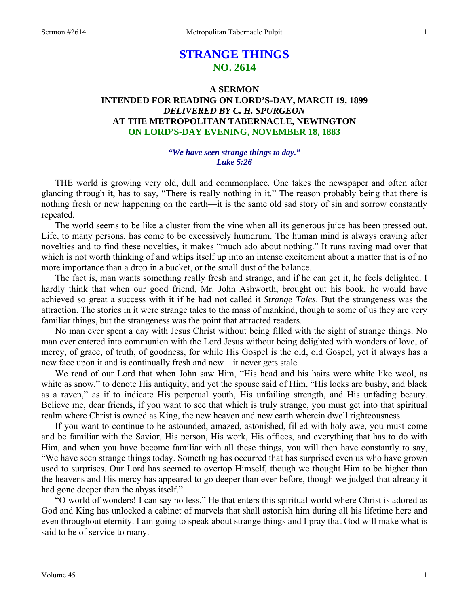# **STRANGE THINGS NO. 2614**

## **A SERMON INTENDED FOR READING ON LORD'S-DAY, MARCH 19, 1899**  *DELIVERED BY C. H. SPURGEON*  **AT THE METROPOLITAN TABERNACLE, NEWINGTON ON LORD'S-DAY EVENING, NOVEMBER 18, 1883**

## *"We have seen strange things to day." Luke 5:26*

 THE world is growing very old, dull and commonplace. One takes the newspaper and often after glancing through it, has to say, "There is really nothing in it." The reason probably being that there is nothing fresh or new happening on the earth—it is the same old sad story of sin and sorrow constantly repeated.

 The world seems to be like a cluster from the vine when all its generous juice has been pressed out. Life, to many persons, has come to be excessively humdrum. The human mind is always craving after novelties and to find these novelties, it makes "much ado about nothing." It runs raving mad over that which is not worth thinking of and whips itself up into an intense excitement about a matter that is of no more importance than a drop in a bucket, or the small dust of the balance.

 The fact is, man wants something really fresh and strange, and if he can get it, he feels delighted. I hardly think that when our good friend, Mr. John Ashworth, brought out his book, he would have achieved so great a success with it if he had not called it *Strange Tales*. But the strangeness was the attraction. The stories in it were strange tales to the mass of mankind, though to some of us they are very familiar things, but the strangeness was the point that attracted readers.

 No man ever spent a day with Jesus Christ without being filled with the sight of strange things. No man ever entered into communion with the Lord Jesus without being delighted with wonders of love, of mercy, of grace, of truth, of goodness, for while His Gospel is the old, old Gospel, yet it always has a new face upon it and is continually fresh and new—it never gets stale.

 We read of our Lord that when John saw Him, "His head and his hairs were white like wool, as white as snow," to denote His antiquity, and yet the spouse said of Him, "His locks are bushy, and black as a raven," as if to indicate His perpetual youth, His unfailing strength, and His unfading beauty. Believe me, dear friends, if you want to see that which is truly strange, you must get into that spiritual realm where Christ is owned as King, the new heaven and new earth wherein dwell righteousness.

 If you want to continue to be astounded, amazed, astonished, filled with holy awe, you must come and be familiar with the Savior, His person, His work, His offices, and everything that has to do with Him, and when you have become familiar with all these things, you will then have constantly to say, "We have seen strange things today. Something has occurred that has surprised even us who have grown used to surprises. Our Lord has seemed to overtop Himself, though we thought Him to be higher than the heavens and His mercy has appeared to go deeper than ever before, though we judged that already it had gone deeper than the abyss itself."

 "O world of wonders! I can say no less." He that enters this spiritual world where Christ is adored as God and King has unlocked a cabinet of marvels that shall astonish him during all his lifetime here and even throughout eternity. I am going to speak about strange things and I pray that God will make what is said to be of service to many.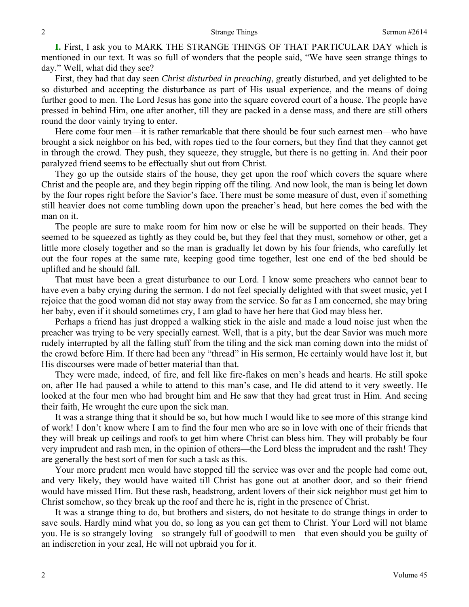**I.** First, I ask you to MARK THE STRANGE THINGS OF THAT PARTICULAR DAY which is mentioned in our text. It was so full of wonders that the people said, "We have seen strange things to day." Well, what did they see?

 First, they had that day seen *Christ disturbed in preaching*, greatly disturbed, and yet delighted to be so disturbed and accepting the disturbance as part of His usual experience, and the means of doing further good to men. The Lord Jesus has gone into the square covered court of a house. The people have pressed in behind Him, one after another, till they are packed in a dense mass, and there are still others round the door vainly trying to enter.

 Here come four men—it is rather remarkable that there should be four such earnest men—who have brought a sick neighbor on his bed, with ropes tied to the four corners, but they find that they cannot get in through the crowd. They push, they squeeze, they struggle, but there is no getting in. And their poor paralyzed friend seems to be effectually shut out from Christ.

 They go up the outside stairs of the house, they get upon the roof which covers the square where Christ and the people are, and they begin ripping off the tiling. And now look, the man is being let down by the four ropes right before the Savior's face. There must be some measure of dust, even if something still heavier does not come tumbling down upon the preacher's head, but here comes the bed with the man on it.

 The people are sure to make room for him now or else he will be supported on their heads. They seemed to be squeezed as tightly as they could be, but they feel that they must, somehow or other, get a little more closely together and so the man is gradually let down by his four friends, who carefully let out the four ropes at the same rate, keeping good time together, lest one end of the bed should be uplifted and he should fall.

 That must have been a great disturbance to our Lord. I know some preachers who cannot bear to have even a baby crying during the sermon. I do not feel specially delighted with that sweet music, yet I rejoice that the good woman did not stay away from the service. So far as I am concerned, she may bring her baby, even if it should sometimes cry, I am glad to have her here that God may bless her.

 Perhaps a friend has just dropped a walking stick in the aisle and made a loud noise just when the preacher was trying to be very specially earnest. Well, that is a pity, but the dear Savior was much more rudely interrupted by all the falling stuff from the tiling and the sick man coming down into the midst of the crowd before Him. If there had been any "thread" in His sermon, He certainly would have lost it, but His discourses were made of better material than that.

 They were made, indeed, of fire, and fell like fire-flakes on men's heads and hearts. He still spoke on, after He had paused a while to attend to this man's case, and He did attend to it very sweetly. He looked at the four men who had brought him and He saw that they had great trust in Him. And seeing their faith, He wrought the cure upon the sick man.

 It was a strange thing that it should be so, but how much I would like to see more of this strange kind of work! I don't know where I am to find the four men who are so in love with one of their friends that they will break up ceilings and roofs to get him where Christ can bless him. They will probably be four very imprudent and rash men, in the opinion of others—the Lord bless the imprudent and the rash! They are generally the best sort of men for such a task as this.

 Your more prudent men would have stopped till the service was over and the people had come out, and very likely, they would have waited till Christ has gone out at another door, and so their friend would have missed Him. But these rash, headstrong, ardent lovers of their sick neighbor must get him to Christ somehow, so they break up the roof and there he is, right in the presence of Christ.

 It was a strange thing to do, but brothers and sisters, do not hesitate to do strange things in order to save souls. Hardly mind what you do, so long as you can get them to Christ. Your Lord will not blame you. He is so strangely loving—so strangely full of goodwill to men—that even should you be guilty of an indiscretion in your zeal, He will not upbraid you for it.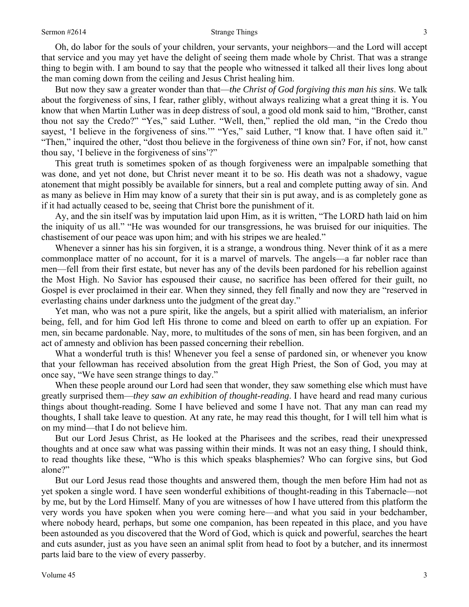Oh, do labor for the souls of your children, your servants, your neighbors—and the Lord will accept that service and you may yet have the delight of seeing them made whole by Christ. That was a strange thing to begin with. I am bound to say that the people who witnessed it talked all their lives long about the man coming down from the ceiling and Jesus Christ healing him.

 But now they saw a greater wonder than that—*the Christ of God forgiving this man his sins*. We talk about the forgiveness of sins, I fear, rather glibly, without always realizing what a great thing it is. You know that when Martin Luther was in deep distress of soul, a good old monk said to him, "Brother, canst thou not say the Credo?" "Yes," said Luther. "Well, then," replied the old man, "in the Credo thou sayest, 'I believe in the forgiveness of sins.'" "Yes," said Luther, "I know that. I have often said it." "Then," inquired the other, "dost thou believe in the forgiveness of thine own sin? For, if not, how canst thou say, 'I believe in the forgiveness of sins'?"

 This great truth is sometimes spoken of as though forgiveness were an impalpable something that was done, and yet not done, but Christ never meant it to be so. His death was not a shadowy, vague atonement that might possibly be available for sinners, but a real and complete putting away of sin. And as many as believe in Him may know of a surety that their sin is put away, and is as completely gone as if it had actually ceased to be, seeing that Christ bore the punishment of it.

 Ay, and the sin itself was by imputation laid upon Him, as it is written, "The LORD hath laid on him the iniquity of us all." "He was wounded for our transgressions, he was bruised for our iniquities. The chastisement of our peace was upon him; and with his stripes we are healed."

 Whenever a sinner has his sin forgiven, it is a strange, a wondrous thing. Never think of it as a mere commonplace matter of no account, for it is a marvel of marvels. The angels—a far nobler race than men—fell from their first estate, but never has any of the devils been pardoned for his rebellion against the Most High. No Savior has espoused their cause, no sacrifice has been offered for their guilt, no Gospel is ever proclaimed in their ear. When they sinned, they fell finally and now they are "reserved in everlasting chains under darkness unto the judgment of the great day."

 Yet man, who was not a pure spirit, like the angels, but a spirit allied with materialism, an inferior being, fell, and for him God left His throne to come and bleed on earth to offer up an expiation. For men, sin became pardonable. Nay, more, to multitudes of the sons of men, sin has been forgiven, and an act of amnesty and oblivion has been passed concerning their rebellion.

 What a wonderful truth is this! Whenever you feel a sense of pardoned sin, or whenever you know that your fellowman has received absolution from the great High Priest, the Son of God, you may at once say, "We have seen strange things to day."

 When these people around our Lord had seen that wonder, they saw something else which must have greatly surprised them—*they saw an exhibition of thought-reading*. I have heard and read many curious things about thought-reading. Some I have believed and some I have not. That any man can read my thoughts, I shall take leave to question. At any rate, he may read this thought, for I will tell him what is on my mind—that I do not believe him.

 But our Lord Jesus Christ, as He looked at the Pharisees and the scribes, read their unexpressed thoughts and at once saw what was passing within their minds. It was not an easy thing, I should think, to read thoughts like these, "Who is this which speaks blasphemies? Who can forgive sins, but God alone?"

 But our Lord Jesus read those thoughts and answered them, though the men before Him had not as yet spoken a single word. I have seen wonderful exhibitions of thought-reading in this Tabernacle—not by me, but by the Lord Himself. Many of you are witnesses of how I have uttered from this platform the very words you have spoken when you were coming here—and what you said in your bedchamber, where nobody heard, perhaps, but some one companion, has been repeated in this place, and you have been astounded as you discovered that the Word of God, which is quick and powerful, searches the heart and cuts asunder, just as you have seen an animal split from head to foot by a butcher, and its innermost parts laid bare to the view of every passerby.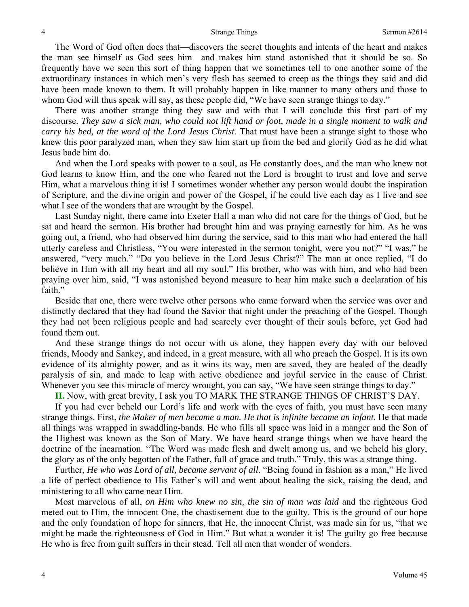The Word of God often does that—discovers the secret thoughts and intents of the heart and makes the man see himself as God sees him—and makes him stand astonished that it should be so. So frequently have we seen this sort of thing happen that we sometimes tell to one another some of the extraordinary instances in which men's very flesh has seemed to creep as the things they said and did have been made known to them. It will probably happen in like manner to many others and those to whom God will thus speak will say, as these people did, "We have seen strange things to day."

 There was another strange thing they saw and with that I will conclude this first part of my discourse. *They saw a sick man, who could not lift hand or foot, made in a single moment to walk and carry his bed, at the word of the Lord Jesus Christ*. That must have been a strange sight to those who knew this poor paralyzed man, when they saw him start up from the bed and glorify God as he did what Jesus bade him do.

 And when the Lord speaks with power to a soul, as He constantly does, and the man who knew not God learns to know Him, and the one who feared not the Lord is brought to trust and love and serve Him, what a marvelous thing it is! I sometimes wonder whether any person would doubt the inspiration of Scripture, and the divine origin and power of the Gospel, if he could live each day as I live and see what I see of the wonders that are wrought by the Gospel.

 Last Sunday night, there came into Exeter Hall a man who did not care for the things of God, but he sat and heard the sermon. His brother had brought him and was praying earnestly for him. As he was going out, a friend, who had observed him during the service, said to this man who had entered the hall utterly careless and Christless, "You were interested in the sermon tonight, were you not?" "I was," he answered, "very much." "Do you believe in the Lord Jesus Christ?" The man at once replied, "I do believe in Him with all my heart and all my soul." His brother, who was with him, and who had been praying over him, said, "I was astonished beyond measure to hear him make such a declaration of his faith."

 Beside that one, there were twelve other persons who came forward when the service was over and distinctly declared that they had found the Savior that night under the preaching of the Gospel. Though they had not been religious people and had scarcely ever thought of their souls before, yet God had found them out.

 And these strange things do not occur with us alone, they happen every day with our beloved friends, Moody and Sankey, and indeed, in a great measure, with all who preach the Gospel. It is its own evidence of its almighty power, and as it wins its way, men are saved, they are healed of the deadly paralysis of sin, and made to leap with active obedience and joyful service in the cause of Christ. Whenever you see this miracle of mercy wrought, you can say, "We have seen strange things to day."

**II.** Now, with great brevity, I ask you TO MARK THE STRANGE THINGS OF CHRIST'S DAY.

 If you had ever beheld our Lord's life and work with the eyes of faith, you must have seen many strange things. First, *the Maker of men became a man. He that is infinite became an infant*. He that made all things was wrapped in swaddling-bands. He who fills all space was laid in a manger and the Son of the Highest was known as the Son of Mary. We have heard strange things when we have heard the doctrine of the incarnation. "The Word was made flesh and dwelt among us, and we beheld his glory, the glory as of the only begotten of the Father, full of grace and truth." Truly, this was a strange thing.

 Further, *He who was Lord of all, became servant of all*. "Being found in fashion as a man," He lived a life of perfect obedience to His Father's will and went about healing the sick, raising the dead, and ministering to all who came near Him.

 Most marvelous of all, *on Him who knew no sin, the sin of man was laid* and the righteous God meted out to Him, the innocent One, the chastisement due to the guilty. This is the ground of our hope and the only foundation of hope for sinners, that He, the innocent Christ, was made sin for us, "that we might be made the righteousness of God in Him." But what a wonder it is! The guilty go free because He who is free from guilt suffers in their stead. Tell all men that wonder of wonders.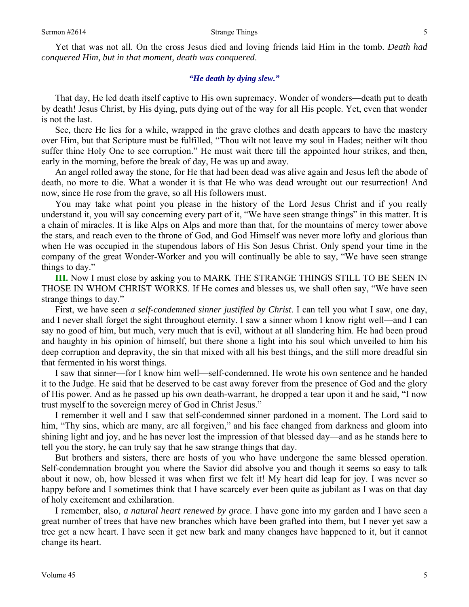Yet that was not all. On the cross Jesus died and loving friends laid Him in the tomb. *Death had conquered Him, but in that moment, death was conquered*.

#### *"He death by dying slew."*

 That day, He led death itself captive to His own supremacy. Wonder of wonders—death put to death by death! Jesus Christ, by His dying, puts dying out of the way for all His people. Yet, even that wonder is not the last.

 See, there He lies for a while, wrapped in the grave clothes and death appears to have the mastery over Him, but that Scripture must be fulfilled, "Thou wilt not leave my soul in Hades; neither wilt thou suffer thine Holy One to see corruption." He must wait there till the appointed hour strikes, and then, early in the morning, before the break of day, He was up and away.

 An angel rolled away the stone, for He that had been dead was alive again and Jesus left the abode of death, no more to die. What a wonder it is that He who was dead wrought out our resurrection! And now, since He rose from the grave, so all His followers must.

 You may take what point you please in the history of the Lord Jesus Christ and if you really understand it, you will say concerning every part of it, "We have seen strange things" in this matter. It is a chain of miracles. It is like Alps on Alps and more than that, for the mountains of mercy tower above the stars, and reach even to the throne of God, and God Himself was never more lofty and glorious than when He was occupied in the stupendous labors of His Son Jesus Christ. Only spend your time in the company of the great Wonder-Worker and you will continually be able to say, "We have seen strange things to day."

**III.** Now I must close by asking you to MARK THE STRANGE THINGS STILL TO BE SEEN IN THOSE IN WHOM CHRIST WORKS. If He comes and blesses us, we shall often say, "We have seen strange things to day."

 First, we have seen *a self-condemned sinner justified by Christ*. I can tell you what I saw, one day, and I never shall forget the sight throughout eternity. I saw a sinner whom I know right well—and I can say no good of him, but much, very much that is evil, without at all slandering him. He had been proud and haughty in his opinion of himself, but there shone a light into his soul which unveiled to him his deep corruption and depravity, the sin that mixed with all his best things, and the still more dreadful sin that fermented in his worst things.

 I saw that sinner—for I know him well—self-condemned. He wrote his own sentence and he handed it to the Judge. He said that he deserved to be cast away forever from the presence of God and the glory of His power. And as he passed up his own death-warrant, he dropped a tear upon it and he said, "I now trust myself to the sovereign mercy of God in Christ Jesus."

 I remember it well and I saw that self-condemned sinner pardoned in a moment. The Lord said to him, "Thy sins, which are many, are all forgiven," and his face changed from darkness and gloom into shining light and joy, and he has never lost the impression of that blessed day—and as he stands here to tell you the story, he can truly say that he saw strange things that day.

 But brothers and sisters, there are hosts of you who have undergone the same blessed operation. Self-condemnation brought you where the Savior did absolve you and though it seems so easy to talk about it now, oh, how blessed it was when first we felt it! My heart did leap for joy. I was never so happy before and I sometimes think that I have scarcely ever been quite as jubilant as I was on that day of holy excitement and exhilaration.

 I remember, also, *a natural heart renewed by grace*. I have gone into my garden and I have seen a great number of trees that have new branches which have been grafted into them, but I never yet saw a tree get a new heart. I have seen it get new bark and many changes have happened to it, but it cannot change its heart.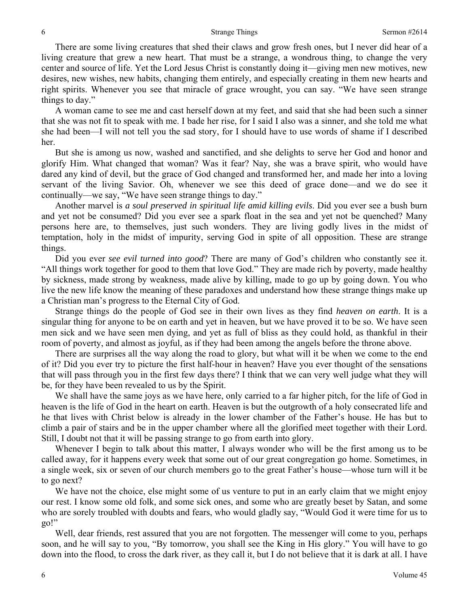There are some living creatures that shed their claws and grow fresh ones, but I never did hear of a living creature that grew a new heart. That must be a strange, a wondrous thing, to change the very center and source of life. Yet the Lord Jesus Christ is constantly doing it—giving men new motives, new desires, new wishes, new habits, changing them entirely, and especially creating in them new hearts and right spirits. Whenever you see that miracle of grace wrought, you can say. "We have seen strange things to day."

 A woman came to see me and cast herself down at my feet, and said that she had been such a sinner that she was not fit to speak with me. I bade her rise, for I said I also was a sinner, and she told me what she had been—I will not tell you the sad story, for I should have to use words of shame if I described her.

 But she is among us now, washed and sanctified, and she delights to serve her God and honor and glorify Him. What changed that woman? Was it fear? Nay, she was a brave spirit, who would have dared any kind of devil, but the grace of God changed and transformed her, and made her into a loving servant of the living Savior. Oh, whenever we see this deed of grace done—and we do see it continually—we say, "We have seen strange things to day."

 Another marvel is *a soul preserved in spiritual life amid killing evils*. Did you ever see a bush burn and yet not be consumed? Did you ever see a spark float in the sea and yet not be quenched? Many persons here are, to themselves, just such wonders. They are living godly lives in the midst of temptation, holy in the midst of impurity, serving God in spite of all opposition. These are strange things.

 Did you ever *see evil turned into good*? There are many of God's children who constantly see it. "All things work together for good to them that love God." They are made rich by poverty, made healthy by sickness, made strong by weakness, made alive by killing, made to go up by going down. You who live the new life know the meaning of these paradoxes and understand how these strange things make up a Christian man's progress to the Eternal City of God.

 Strange things do the people of God see in their own lives as they find *heaven on earth*. It is a singular thing for anyone to be on earth and yet in heaven, but we have proved it to be so. We have seen men sick and we have seen men dying, and yet as full of bliss as they could hold, as thankful in their room of poverty, and almost as joyful, as if they had been among the angels before the throne above.

 There are surprises all the way along the road to glory, but what will it be when we come to the end of it? Did you ever try to picture the first half-hour in heaven? Have you ever thought of the sensations that will pass through you in the first few days there? I think that we can very well judge what they will be, for they have been revealed to us by the Spirit.

 We shall have the same joys as we have here, only carried to a far higher pitch, for the life of God in heaven is the life of God in the heart on earth. Heaven is but the outgrowth of a holy consecrated life and he that lives with Christ below is already in the lower chamber of the Father's house. He has but to climb a pair of stairs and be in the upper chamber where all the glorified meet together with their Lord. Still, I doubt not that it will be passing strange to go from earth into glory.

 Whenever I begin to talk about this matter, I always wonder who will be the first among us to be called away, for it happens every week that some out of our great congregation go home. Sometimes, in a single week, six or seven of our church members go to the great Father's house—whose turn will it be to go next?

We have not the choice, else might some of us venture to put in an early claim that we might enjoy our rest. I know some old folk, and some sick ones, and some who are greatly beset by Satan, and some who are sorely troubled with doubts and fears, who would gladly say, "Would God it were time for us to go!"

 Well, dear friends, rest assured that you are not forgotten. The messenger will come to you, perhaps soon, and he will say to you, "By tomorrow, you shall see the King in His glory." You will have to go down into the flood, to cross the dark river, as they call it, but I do not believe that it is dark at all. I have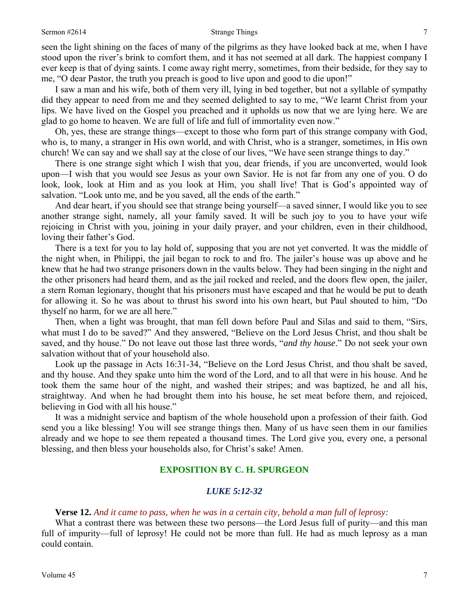#### Sermon #2614 **Strange Things** 7

seen the light shining on the faces of many of the pilgrims as they have looked back at me, when I have stood upon the river's brink to comfort them, and it has not seemed at all dark. The happiest company I ever keep is that of dying saints. I come away right merry, sometimes, from their bedside, for they say to me, "O dear Pastor, the truth you preach is good to live upon and good to die upon!"

 I saw a man and his wife, both of them very ill, lying in bed together, but not a syllable of sympathy did they appear to need from me and they seemed delighted to say to me, "We learnt Christ from your lips. We have lived on the Gospel you preached and it upholds us now that we are lying here. We are glad to go home to heaven. We are full of life and full of immortality even now."

 Oh, yes, these are strange things—except to those who form part of this strange company with God, who is, to many, a stranger in His own world, and with Christ, who is a stranger, sometimes, in His own church! We can say and we shall say at the close of our lives, "We have seen strange things to day."

 There is one strange sight which I wish that you, dear friends, if you are unconverted, would look upon—I wish that you would see Jesus as your own Savior. He is not far from any one of you. O do look, look, look at Him and as you look at Him, you shall live! That is God's appointed way of salvation. "Look unto me, and be you saved, all the ends of the earth."

 And dear heart, if you should see that strange being yourself—a saved sinner, I would like you to see another strange sight, namely, all your family saved. It will be such joy to you to have your wife rejoicing in Christ with you, joining in your daily prayer, and your children, even in their childhood, loving their father's God.

 There is a text for you to lay hold of, supposing that you are not yet converted. It was the middle of the night when, in Philippi, the jail began to rock to and fro. The jailer's house was up above and he knew that he had two strange prisoners down in the vaults below. They had been singing in the night and the other prisoners had heard them, and as the jail rocked and reeled, and the doors flew open, the jailer, a stern Roman legionary, thought that his prisoners must have escaped and that he would be put to death for allowing it. So he was about to thrust his sword into his own heart, but Paul shouted to him, "Do thyself no harm, for we are all here."

 Then, when a light was brought, that man fell down before Paul and Silas and said to them, "Sirs, what must I do to be saved?" And they answered, "Believe on the Lord Jesus Christ, and thou shalt be saved, and thy house." Do not leave out those last three words, "*and thy house*." Do not seek your own salvation without that of your household also.

 Look up the passage in Acts 16:31-34, "Believe on the Lord Jesus Christ, and thou shalt be saved, and thy house. And they spake unto him the word of the Lord, and to all that were in his house. And he took them the same hour of the night, and washed their stripes; and was baptized, he and all his, straightway. And when he had brought them into his house, he set meat before them, and rejoiced, believing in God with all his house."

 It was a midnight service and baptism of the whole household upon a profession of their faith. God send you a like blessing! You will see strange things then. Many of us have seen them in our families already and we hope to see them repeated a thousand times. The Lord give you, every one, a personal blessing, and then bless your households also, for Christ's sake! Amen.

## **EXPOSITION BY C. H. SPURGEON**

#### *LUKE 5:12-32*

#### **Verse 12.** *And it came to pass, when he was in a certain city, behold a man full of leprosy:*

What a contrast there was between these two persons—the Lord Jesus full of purity—and this man full of impurity—full of leprosy! He could not be more than full. He had as much leprosy as a man could contain.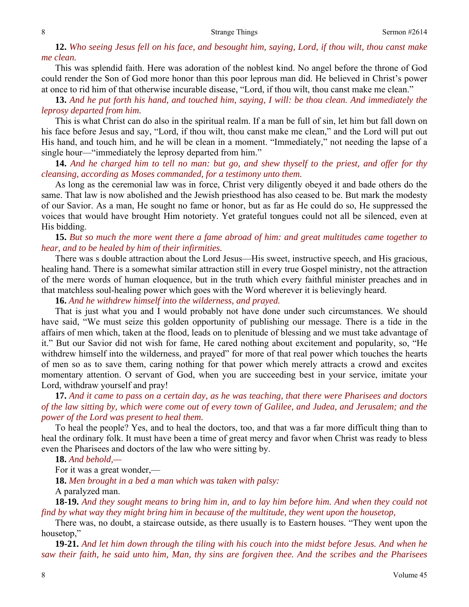**12.** *Who seeing Jesus fell on his face, and besought him, saying, Lord, if thou wilt, thou canst make me clean.* 

This was splendid faith. Here was adoration of the noblest kind. No angel before the throne of God could render the Son of God more honor than this poor leprous man did. He believed in Christ's power at once to rid him of that otherwise incurable disease, "Lord, if thou wilt, thou canst make me clean."

**13.** *And he put forth his hand, and touched him, saying, I will: be thou clean. And immediately the leprosy departed from him.* 

This is what Christ can do also in the spiritual realm. If a man be full of sin, let him but fall down on his face before Jesus and say, "Lord, if thou wilt, thou canst make me clean," and the Lord will put out His hand, and touch him, and he will be clean in a moment. "Immediately," not needing the lapse of a single hour—"immediately the leprosy departed from him."

**14.** *And he charged him to tell no man: but go, and shew thyself to the priest, and offer for thy cleansing, according as Moses commanded, for a testimony unto them.* 

As long as the ceremonial law was in force, Christ very diligently obeyed it and bade others do the same. That law is now abolished and the Jewish priesthood has also ceased to be. But mark the modesty of our Savior. As a man, He sought no fame or honor, but as far as He could do so, He suppressed the voices that would have brought Him notoriety. Yet grateful tongues could not all be silenced, even at His bidding.

## **15.** *But so much the more went there a fame abroad of him: and great multitudes came together to hear, and to be healed by him of their infirmities.*

There was s double attraction about the Lord Jesus—His sweet, instructive speech, and His gracious, healing hand. There is a somewhat similar attraction still in every true Gospel ministry, not the attraction of the mere words of human eloquence, but in the truth which every faithful minister preaches and in that matchless soul-healing power which goes with the Word wherever it is believingly heard.

**16.** *And he withdrew himself into the wilderness, and prayed.* 

That is just what you and I would probably not have done under such circumstances. We should have said, "We must seize this golden opportunity of publishing our message. There is a tide in the affairs of men which, taken at the flood, leads on to plenitude of blessing and we must take advantage of it." But our Savior did not wish for fame, He cared nothing about excitement and popularity, so, "He withdrew himself into the wilderness, and prayed" for more of that real power which touches the hearts of men so as to save them, caring nothing for that power which merely attracts a crowd and excites momentary attention. O servant of God, when you are succeeding best in your service, imitate your Lord, withdraw yourself and pray!

**17.** *And it came to pass on a certain day, as he was teaching, that there were Pharisees and doctors of the law sitting by, which were come out of every town of Galilee, and Judea, and Jerusalem; and the power of the Lord was present to heal them.* 

To heal the people? Yes, and to heal the doctors, too, and that was a far more difficult thing than to heal the ordinary folk. It must have been a time of great mercy and favor when Christ was ready to bless even the Pharisees and doctors of the law who were sitting by.

**18.** *And behold,—* 

For it was a great wonder,—

**18.** *Men brought in a bed a man which was taken with palsy:* 

A paralyzed man.

**18-19.** *And they sought means to bring him in, and to lay him before him. And when they could not find by what way they might bring him in because of the multitude, they went upon the housetop,* 

There was, no doubt, a staircase outside, as there usually is to Eastern houses. "They went upon the housetop,"

**19-21.** *And let him down through the tiling with his couch into the midst before Jesus. And when he saw their faith, he said unto him, Man, thy sins are forgiven thee. And the scribes and the Pharisees*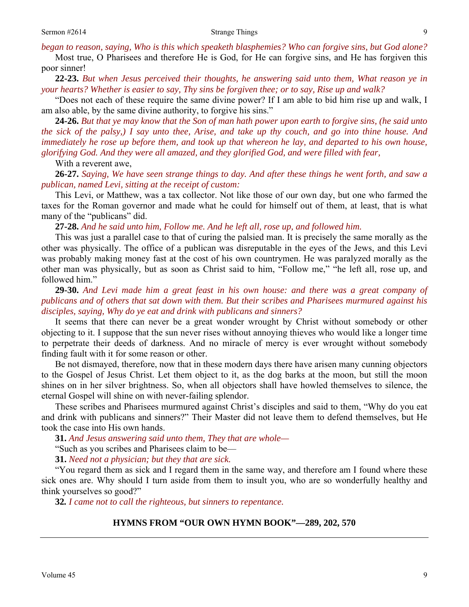*began to reason, saying, Who is this which speaketh blasphemies? Who can forgive sins, but God alone?*

Most true, O Pharisees and therefore He is God, for He can forgive sins, and He has forgiven this poor sinner!

**22-23.** *But when Jesus perceived their thoughts, he answering said unto them, What reason ye in your hearts? Whether is easier to say, Thy sins be forgiven thee; or to say, Rise up and walk?* 

"Does not each of these require the same divine power? If I am able to bid him rise up and walk, I am also able, by the same divine authority, to forgive his sins."

**24-26.** *But that ye may know that the Son of man hath power upon earth to forgive sins, (he said unto the sick of the palsy,) I say unto thee, Arise, and take up thy couch, and go into thine house. And immediately he rose up before them, and took up that whereon he lay, and departed to his own house, glorifying God. And they were all amazed, and they glorified God, and were filled with fear,* 

With a reverent awe,

**26-27.** *Saying, We have seen strange things to day. And after these things he went forth, and saw a publican, named Levi, sitting at the receipt of custom:* 

This Levi, or Matthew, was a tax collector. Not like those of our own day, but one who farmed the taxes for the Roman governor and made what he could for himself out of them, at least, that is what many of the "publicans" did.

**27-28.** *And he said unto him, Follow me. And he left all, rose up, and followed him.* 

This was just a parallel case to that of curing the palsied man. It is precisely the same morally as the other was physically. The office of a publican was disreputable in the eyes of the Jews, and this Levi was probably making money fast at the cost of his own countrymen. He was paralyzed morally as the other man was physically*,* but as soon as Christ said to him, "Follow me," "he left all, rose up, and followed him."

**29-30.** *And Levi made him a great feast in his own house: and there was a great company of publicans and of others that sat down with them. But their scribes and Pharisees murmured against his disciples, saying, Why do ye eat and drink with publicans and sinners?* 

It seems that there can never be a great wonder wrought by Christ without somebody or other objecting to it. I suppose that the sun never rises without annoying thieves who would like a longer time to perpetrate their deeds of darkness. And no miracle of mercy is ever wrought without somebody finding fault with it for some reason or other.

 Be not dismayed, therefore, now that in these modern days there have arisen many cunning objectors to the Gospel of Jesus Christ. Let them object to it, as the dog barks at the moon, but still the moon shines on in her silver brightness. So, when all objectors shall have howled themselves to silence, the eternal Gospel will shine on with never-failing splendor.

 These scribes and Pharisees murmured against Christ's disciples and said to them, "Why do you eat and drink with publicans and sinners?" Their Master did not leave them to defend themselves, but He took the case into His own hands.

**31.** *And Jesus answering said unto them, They that are whole—* 

"Such as you scribes and Pharisees claim to be—

**31.** *Need not a physician; but they that are sick.* 

"You regard them as sick and I regard them in the same way, and therefore am I found where these sick ones are. Why should I turn aside from them to insult you, who are so wonderfully healthy and think yourselves so good?"

**32***. I came not to call the righteous, but sinners to repentance.* 

#### **HYMNS FROM "OUR OWN HYMN BOOK"—289, 202, 570**